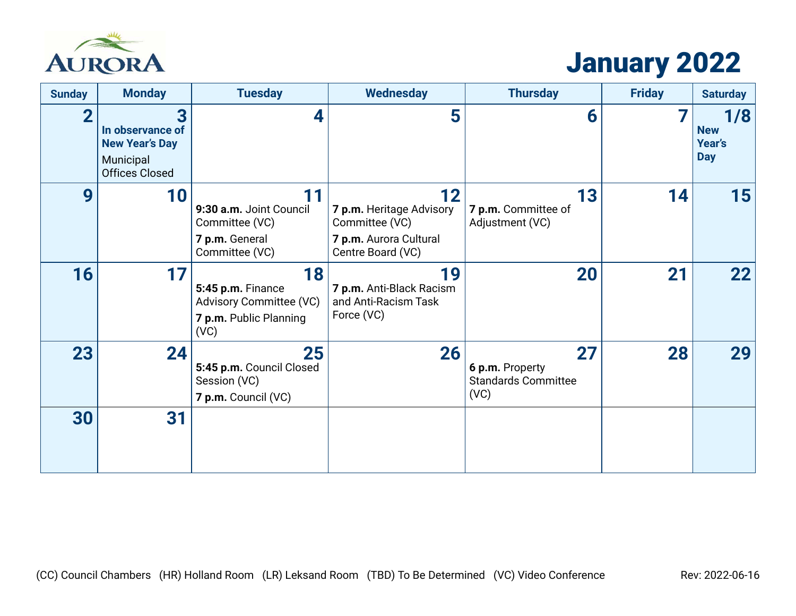

# January 2022

| <b>Sunday</b>  | <b>Monday</b>                                                                        | <b>Tuesday</b>                                                                              | <b>Wednesday</b>                                                                                | <b>Thursday</b>                                             | <b>Friday</b> | <b>Saturday</b>                           |
|----------------|--------------------------------------------------------------------------------------|---------------------------------------------------------------------------------------------|-------------------------------------------------------------------------------------------------|-------------------------------------------------------------|---------------|-------------------------------------------|
| $\overline{2}$ | 3<br>In observance of<br><b>New Year's Day</b><br>Municipal<br><b>Offices Closed</b> | 4                                                                                           | 5                                                                                               | 6                                                           |               | 1/8<br><b>New</b><br>Year's<br><b>Day</b> |
| 9              | 10                                                                                   | 11<br>9:30 a.m. Joint Council<br>Committee (VC)<br>7 p.m. General<br>Committee (VC)         | 12<br>7 p.m. Heritage Advisory<br>Committee (VC)<br>7 p.m. Aurora Cultural<br>Centre Board (VC) | 13<br>7 p.m. Committee of<br>Adjustment (VC)                | 14            | 15                                        |
| 16             | 17                                                                                   | 18<br>5:45 p.m. Finance<br><b>Advisory Committee (VC)</b><br>7 p.m. Public Planning<br>(VC) | 19<br>7 p.m. Anti-Black Racism<br>and Anti-Racism Task<br>Force (VC)                            | 20                                                          | 21            | 22                                        |
| 23             | 24                                                                                   | 25<br>5:45 p.m. Council Closed<br>Session (VC)<br>7 p.m. Council (VC)                       | 26                                                                                              | 27<br>6 p.m. Property<br><b>Standards Committee</b><br>(VC) | 28            | 29                                        |
| 30             | 31                                                                                   |                                                                                             |                                                                                                 |                                                             |               |                                           |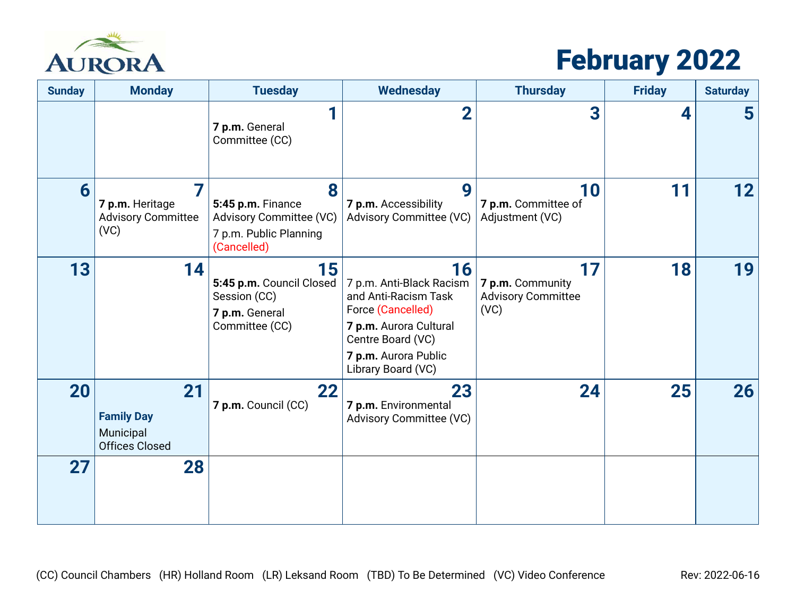

# February 2022

| <b>Sunday</b> | <b>Monday</b>                                                 | <b>Tuesday</b>                                                                             | <b>Wednesday</b>                                                                                                                                                         | <b>Thursday</b>                                             | <b>Friday</b> | <b>Saturday</b>         |
|---------------|---------------------------------------------------------------|--------------------------------------------------------------------------------------------|--------------------------------------------------------------------------------------------------------------------------------------------------------------------------|-------------------------------------------------------------|---------------|-------------------------|
|               |                                                               | 1<br>7 p.m. General<br>Committee (CC)                                                      | $\overline{2}$                                                                                                                                                           | 3                                                           | 4             | $\overline{\mathbf{5}}$ |
| 6             | 7<br>7 p.m. Heritage<br><b>Advisory Committee</b><br>(VC)     | 8<br>5:45 p.m. Finance<br>Advisory Committee (VC)<br>7 p.m. Public Planning<br>(Cancelled) | 9<br>7 p.m. Accessibility<br><b>Advisory Committee (VC)</b>                                                                                                              | 10<br>7 p.m. Committee of<br>Adjustment (VC)                | 11            | 12                      |
| 13            | 14                                                            | 15<br>5:45 p.m. Council Closed<br>Session (CC)<br>7 p.m. General<br>Committee (CC)         | 16<br>7 p.m. Anti-Black Racism<br>and Anti-Racism Task<br>Force (Cancelled)<br>7 p.m. Aurora Cultural<br>Centre Board (VC)<br>7 p.m. Aurora Public<br>Library Board (VC) | 17<br>7 p.m. Community<br><b>Advisory Committee</b><br>(VC) | 18            | 19                      |
| 20            | 21<br><b>Family Day</b><br>Municipal<br><b>Offices Closed</b> | 22<br>7 p.m. Council (CC)                                                                  | 23<br>7 p.m. Environmental<br><b>Advisory Committee (VC)</b>                                                                                                             | 24                                                          | 25            | 26                      |
| 27            | 28                                                            |                                                                                            |                                                                                                                                                                          |                                                             |               |                         |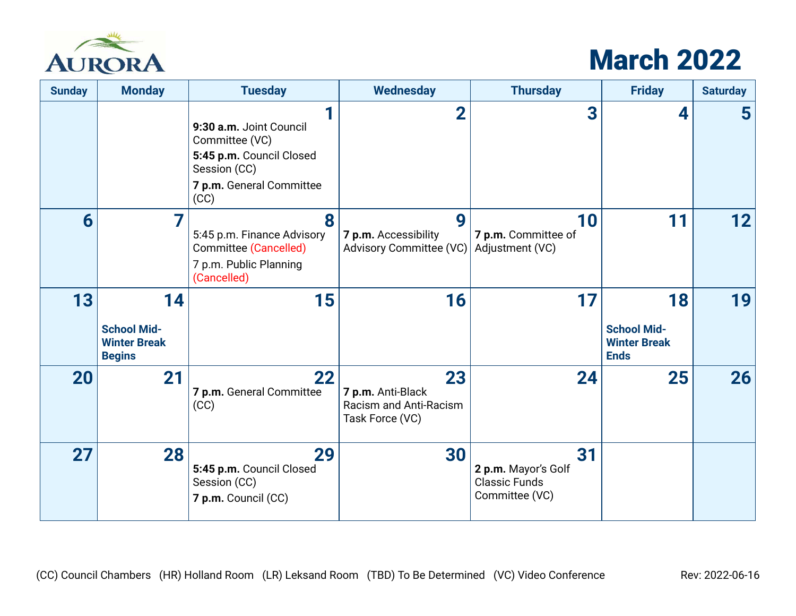

## March 2022

| <b>Sunday</b> | <b>Monday</b>                                                    | <b>Tuesday</b>                                                                                                                 | <b>Wednesday</b>                                                     | <b>Thursday</b>                                                     | <b>Friday</b>                                                  | <b>Saturday</b>         |
|---------------|------------------------------------------------------------------|--------------------------------------------------------------------------------------------------------------------------------|----------------------------------------------------------------------|---------------------------------------------------------------------|----------------------------------------------------------------|-------------------------|
|               |                                                                  | 1<br>9:30 a.m. Joint Council<br>Committee (VC)<br>5:45 p.m. Council Closed<br>Session (CC)<br>7 p.m. General Committee<br>(CC) | $\overline{2}$                                                       | 3                                                                   | 4                                                              | $\overline{\mathbf{5}}$ |
| 6             | 7                                                                | 8<br>5:45 p.m. Finance Advisory<br><b>Committee (Cancelled)</b><br>7 p.m. Public Planning<br>(Cancelled)                       | 9<br>7 p.m. Accessibility<br>Advisory Committee (VC)                 | 10<br>7 p.m. Committee of<br>Adjustment (VC)                        | 11                                                             | 12                      |
| 13            | 14<br><b>School Mid-</b><br><b>Winter Break</b><br><b>Begins</b> | 15                                                                                                                             | 16                                                                   | 17                                                                  | 18<br><b>School Mid-</b><br><b>Winter Break</b><br><b>Ends</b> | 19                      |
| <b>20</b>     | 21                                                               | 22<br>7 p.m. General Committee<br>(CC)                                                                                         | 23<br>7 p.m. Anti-Black<br>Racism and Anti-Racism<br>Task Force (VC) | 24                                                                  | 25                                                             | 26                      |
| 27            | 28                                                               | 29<br>5:45 p.m. Council Closed<br>Session (CC)<br>7 p.m. Council (CC)                                                          | 30                                                                   | 31<br>2 p.m. Mayor's Golf<br><b>Classic Funds</b><br>Committee (VC) |                                                                |                         |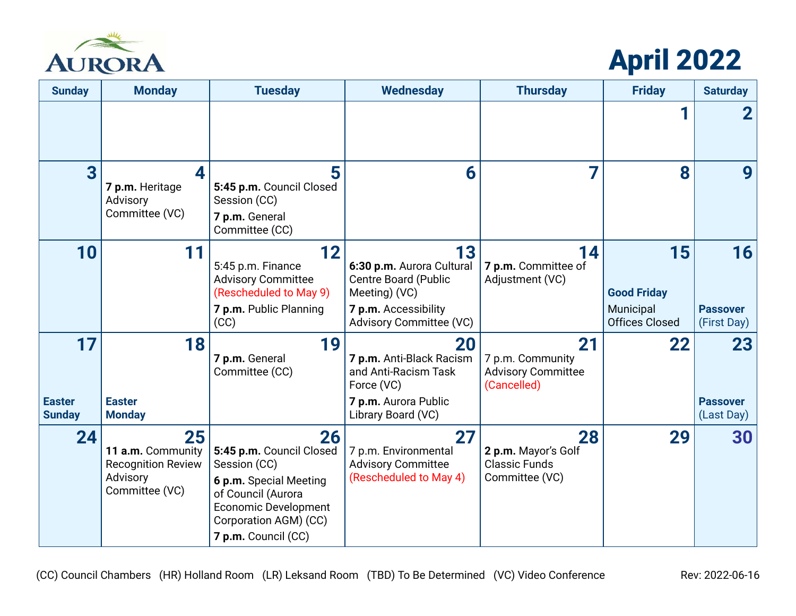

# April 2022

| <b>Sunday</b>                        | <b>Monday</b>                                                                      | <b>Tuesday</b>                                                                                                                                                                | <b>Wednesday</b>                                                                                                                          | <b>Thursday</b>                                                     | <b>Friday</b>                                                  | <b>Saturday</b>                      |
|--------------------------------------|------------------------------------------------------------------------------------|-------------------------------------------------------------------------------------------------------------------------------------------------------------------------------|-------------------------------------------------------------------------------------------------------------------------------------------|---------------------------------------------------------------------|----------------------------------------------------------------|--------------------------------------|
|                                      |                                                                                    |                                                                                                                                                                               |                                                                                                                                           |                                                                     |                                                                |                                      |
| 3                                    | $\boldsymbol{A}$<br>7 p.m. Heritage<br>Advisory<br>Committee (VC)                  | 5<br>5:45 p.m. Council Closed<br>Session (CC)<br>7 p.m. General<br>Committee (CC)                                                                                             | 6                                                                                                                                         | 7                                                                   | 8                                                              | 9                                    |
| 10                                   | 11                                                                                 | 12<br>5:45 p.m. Finance<br><b>Advisory Committee</b><br>(Rescheduled to May 9)<br>7 p.m. Public Planning<br>(CC)                                                              | 13<br>6:30 p.m. Aurora Cultural<br><b>Centre Board (Public</b><br>Meeting) (VC)<br>7 p.m. Accessibility<br><b>Advisory Committee (VC)</b> | 14<br>7 p.m. Committee of<br>Adjustment (VC)                        | 15<br><b>Good Friday</b><br>Municipal<br><b>Offices Closed</b> | 16<br><b>Passover</b><br>(First Day) |
| 17<br><b>Easter</b><br><b>Sunday</b> | 18<br><b>Easter</b><br><b>Monday</b>                                               | 19<br>7 p.m. General<br>Committee (CC)                                                                                                                                        | 20<br>7 p.m. Anti-Black Racism<br>and Anti-Racism Task<br>Force (VC)<br>7 p.m. Aurora Public<br>Library Board (VC)                        | 21<br>7 p.m. Community<br><b>Advisory Committee</b><br>(Cancelled)  | 22                                                             | 23<br><b>Passover</b><br>(Last Day)  |
| 24                                   | 25<br>11 a.m. Community<br><b>Recognition Review</b><br>Advisory<br>Committee (VC) | 26<br>5:45 p.m. Council Closed<br>Session (CC)<br>6 p.m. Special Meeting<br>of Council (Aurora<br><b>Economic Development</b><br>Corporation AGM) (CC)<br>7 p.m. Council (CC) | 27<br>7 p.m. Environmental<br><b>Advisory Committee</b><br>(Rescheduled to May 4)                                                         | 28<br>2 p.m. Mayor's Golf<br><b>Classic Funds</b><br>Committee (VC) | 29                                                             | 30                                   |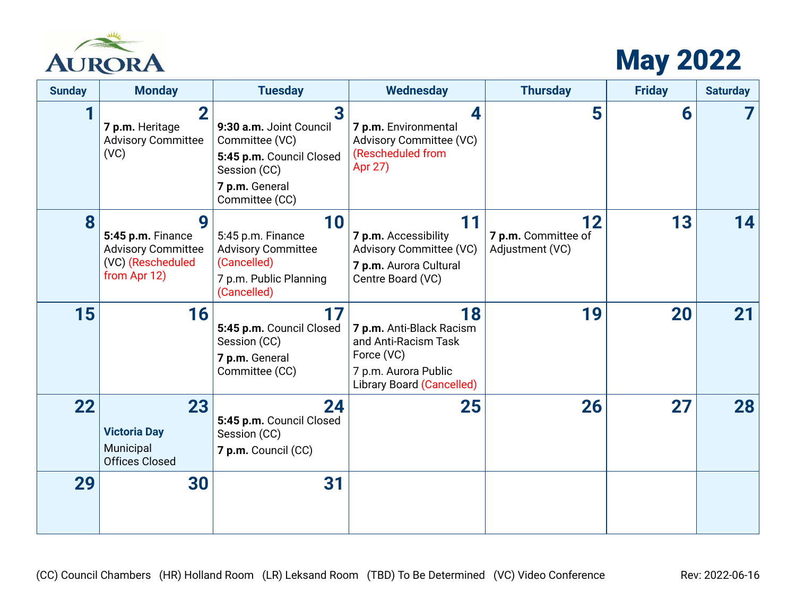

## May 2022

| <b>Sunday</b> | <b>Monday</b>                                                                            | <b>Tuesday</b>                                                                                                                 | <b>Wednesday</b>                                                                                                                 | <b>Thursday</b>                              | <b>Friday</b> | <b>Saturday</b> |
|---------------|------------------------------------------------------------------------------------------|--------------------------------------------------------------------------------------------------------------------------------|----------------------------------------------------------------------------------------------------------------------------------|----------------------------------------------|---------------|-----------------|
|               | $\overline{\mathbf{2}}$<br>7 p.m. Heritage<br><b>Advisory Committee</b><br>(VC)          | 3<br>9:30 a.m. Joint Council<br>Committee (VC)<br>5:45 p.m. Council Closed<br>Session (CC)<br>7 p.m. General<br>Committee (CC) | 4<br>7 p.m. Environmental<br><b>Advisory Committee (VC)</b><br>(Rescheduled from<br>Apr 27)                                      | 5                                            | 6             |                 |
| 8             | 9<br>5:45 p.m. Finance<br><b>Advisory Committee</b><br>(VC) (Rescheduled<br>from Apr 12) | 10<br>5:45 p.m. Finance<br><b>Advisory Committee</b><br>(Cancelled)<br>7 p.m. Public Planning<br>(Cancelled)                   | 11<br>7 p.m. Accessibility<br><b>Advisory Committee (VC)</b><br>7 p.m. Aurora Cultural<br>Centre Board (VC)                      | 12<br>7 p.m. Committee of<br>Adjustment (VC) | 13            | 14              |
| 15            | 16                                                                                       | 17<br>5:45 p.m. Council Closed<br>Session (CC)<br>7 p.m. General<br>Committee (CC)                                             | 18<br>7 p.m. Anti-Black Racism<br>and Anti-Racism Task<br>Force (VC)<br>7 p.m. Aurora Public<br><b>Library Board (Cancelled)</b> | 19                                           | 20            | 21              |
| 22            | 23<br><b>Victoria Day</b><br>Municipal<br><b>Offices Closed</b>                          | 24<br>5:45 p.m. Council Closed<br>Session (CC)<br>7 p.m. Council (CC)                                                          | 25                                                                                                                               | 26                                           | 27            | 28              |
| 29            | 30                                                                                       | 31                                                                                                                             |                                                                                                                                  |                                              |               |                 |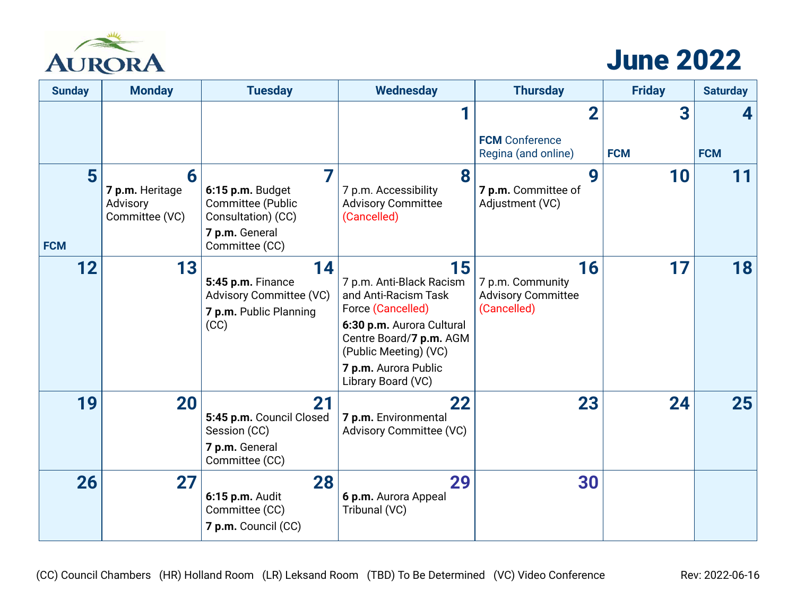

## June 2022

| <b>Sunday</b>   | <b>Monday</b>                                      | <b>Tuesday</b>                                                                                  | <b>Wednesday</b>                                                                                                                                                                                           | <b>Thursday</b>                                                    | <b>Friday</b> | <b>Saturday</b> |
|-----------------|----------------------------------------------------|-------------------------------------------------------------------------------------------------|------------------------------------------------------------------------------------------------------------------------------------------------------------------------------------------------------------|--------------------------------------------------------------------|---------------|-----------------|
|                 |                                                    |                                                                                                 |                                                                                                                                                                                                            | $\overline{2}$<br><b>FCM</b> Conference                            | 3             |                 |
|                 |                                                    |                                                                                                 |                                                                                                                                                                                                            | Regina (and online)                                                | <b>FCM</b>    | <b>FCM</b>      |
| 5<br><b>FCM</b> | 6<br>7 p.m. Heritage<br>Advisory<br>Committee (VC) | 6:15 p.m. Budget<br>Committee (Public<br>Consultation) (CC)<br>7 p.m. General<br>Committee (CC) | 8<br>7 p.m. Accessibility<br><b>Advisory Committee</b><br>(Cancelled)                                                                                                                                      | 9<br>7 p.m. Committee of<br>Adjustment (VC)                        | 10            | 11              |
| 12              | 13                                                 | 14<br>5:45 p.m. Finance<br><b>Advisory Committee (VC)</b><br>7 p.m. Public Planning<br>(CC)     | 15<br>7 p.m. Anti-Black Racism<br>and Anti-Racism Task<br>Force (Cancelled)<br>6:30 p.m. Aurora Cultural<br>Centre Board/7 p.m. AGM<br>(Public Meeting) (VC)<br>7 p.m. Aurora Public<br>Library Board (VC) | 16<br>7 p.m. Community<br><b>Advisory Committee</b><br>(Cancelled) | 17            | 18              |
| 19              | 20                                                 | 21<br>5:45 p.m. Council Closed<br>Session (CC)<br>7 p.m. General<br>Committee (CC)              | 22<br>7 p.m. Environmental<br><b>Advisory Committee (VC)</b>                                                                                                                                               | 23                                                                 | 24            | 25              |
| 26              | 27                                                 | 28<br>6:15 p.m. Audit<br>Committee (CC)<br>7 p.m. Council (CC)                                  | 29<br>6 p.m. Aurora Appeal<br>Tribunal (VC)                                                                                                                                                                | 30                                                                 |               |                 |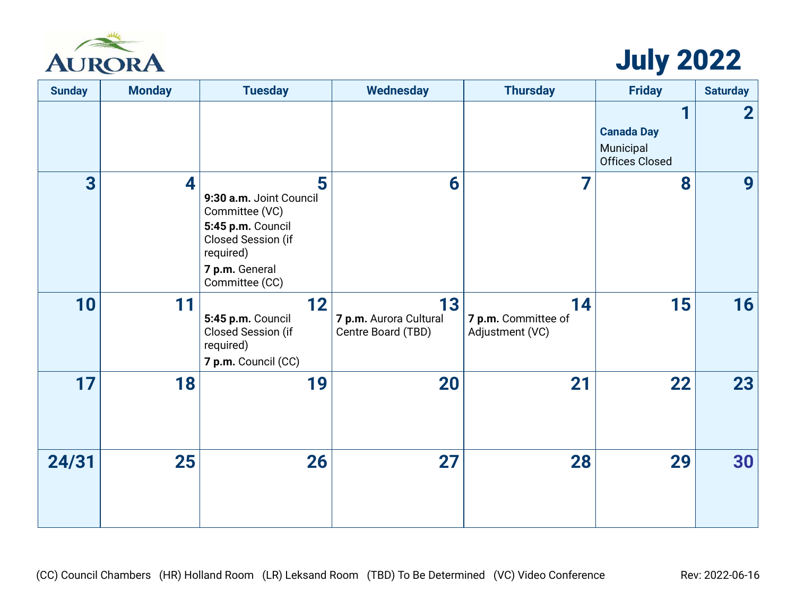

## July 2022

| <b>Sunday</b>  | <b>Monday</b> | <b>Tuesday</b>                                                                                                                             | <b>Wednesday</b>                                   | <b>Thursday</b>                              | <b>Friday</b>                                           | <b>Saturday</b> |
|----------------|---------------|--------------------------------------------------------------------------------------------------------------------------------------------|----------------------------------------------------|----------------------------------------------|---------------------------------------------------------|-----------------|
|                |               |                                                                                                                                            |                                                    |                                              | <b>Canada Day</b><br>Municipal<br><b>Offices Closed</b> | $\mathbf 2$     |
| $\overline{3}$ | 4             | 5<br>9:30 a.m. Joint Council<br>Committee (VC)<br>5:45 p.m. Council<br>Closed Session (if<br>required)<br>7 p.m. General<br>Committee (CC) | 6                                                  | 7                                            | 8                                                       | 9               |
| 10             | 11            | 12<br>5:45 p.m. Council<br>Closed Session (if<br>required)<br>7 p.m. Council (CC)                                                          | 13<br>7 p.m. Aurora Cultural<br>Centre Board (TBD) | 14<br>7 p.m. Committee of<br>Adjustment (VC) | 15                                                      | 16              |
| 17             | 18            | 19                                                                                                                                         | 20                                                 | 21                                           | 22                                                      | 23              |
| 24/31          | 25            | 26                                                                                                                                         | 27                                                 | 28                                           | 29                                                      | 30              |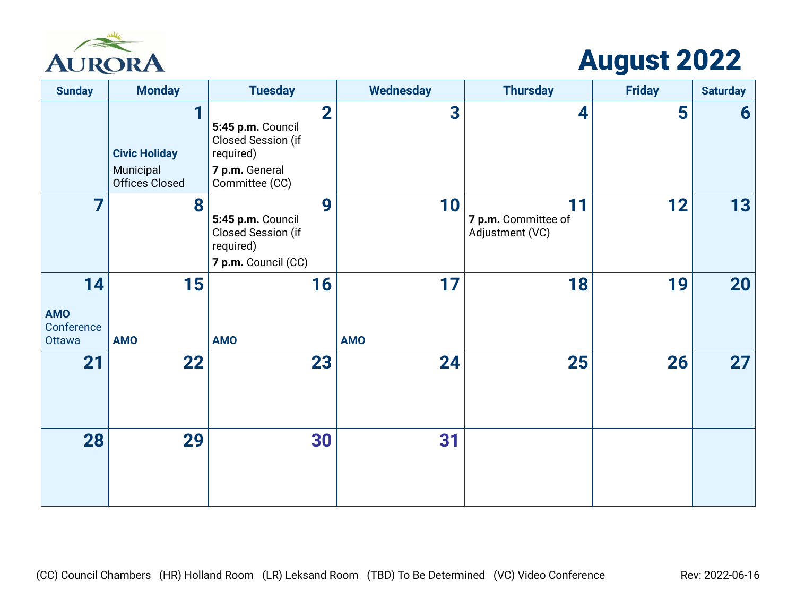

## August 2022

| <b>Sunday</b>                            | <b>Monday</b>                                                   | <b>Tuesday</b>                                                                                                      | <b>Wednesday</b> | <b>Thursday</b>                              | <b>Friday</b> | <b>Saturday</b> |
|------------------------------------------|-----------------------------------------------------------------|---------------------------------------------------------------------------------------------------------------------|------------------|----------------------------------------------|---------------|-----------------|
|                                          | 4<br><b>Civic Holiday</b><br>Municipal<br><b>Offices Closed</b> | $\overline{\mathbf{2}}$<br>5:45 p.m. Council<br>Closed Session (if<br>required)<br>7 p.m. General<br>Committee (CC) | 3                | 4                                            | 5             | 6               |
| 7                                        | 8                                                               | 9<br>5:45 p.m. Council<br>Closed Session (if<br>required)<br>7 p.m. Council (CC)                                    | 10               | 11<br>7 p.m. Committee of<br>Adjustment (VC) | 12            | 13              |
| 14<br><b>AMO</b><br>Conference<br>Ottawa | 15<br><b>AMO</b>                                                | 16<br><b>AMO</b>                                                                                                    | 17<br><b>AMO</b> | 18                                           | 19            | <b>20</b>       |
| 21                                       | 22                                                              | 23                                                                                                                  | 24               | 25                                           | 26            | 27              |
| 28                                       | 29                                                              | 30                                                                                                                  | 31               |                                              |               |                 |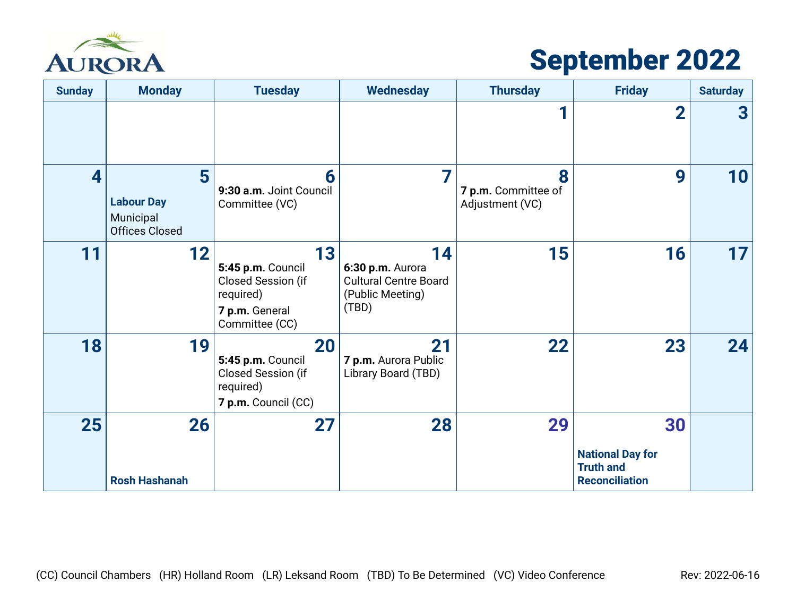

## September 2022

| <b>Sunday</b> | <b>Monday</b>                                                | <b>Tuesday</b>                                                                                 | <b>Wednesday</b>                                                                    | <b>Thursday</b>                             | <b>Friday</b>                                                              | <b>Saturday</b>         |
|---------------|--------------------------------------------------------------|------------------------------------------------------------------------------------------------|-------------------------------------------------------------------------------------|---------------------------------------------|----------------------------------------------------------------------------|-------------------------|
|               |                                                              |                                                                                                |                                                                                     |                                             | $\overline{2}$                                                             | $\overline{\mathbf{3}}$ |
| 4             | 5<br><b>Labour Day</b><br>Municipal<br><b>Offices Closed</b> | 6<br>9:30 a.m. Joint Council<br>Committee (VC)                                                 | 7                                                                                   | 8<br>7 p.m. Committee of<br>Adjustment (VC) | 9                                                                          | 10                      |
| 11            | 12                                                           | 13<br>5:45 p.m. Council<br>Closed Session (if<br>required)<br>7 p.m. General<br>Committee (CC) | 14<br>6:30 p.m. Aurora<br><b>Cultural Centre Board</b><br>(Public Meeting)<br>(TBD) | 15                                          | 16                                                                         | 17                      |
| 18            | 19                                                           | 20<br>5:45 p.m. Council<br>Closed Session (if<br>required)<br>7 p.m. Council (CC)              | 21<br>7 p.m. Aurora Public<br>Library Board (TBD)                                   | 22                                          | 23                                                                         | 24                      |
| 25            | 26<br><b>Rosh Hashanah</b>                                   | 27                                                                                             | 28                                                                                  | 29                                          | 30<br><b>National Day for</b><br><b>Truth and</b><br><b>Reconciliation</b> |                         |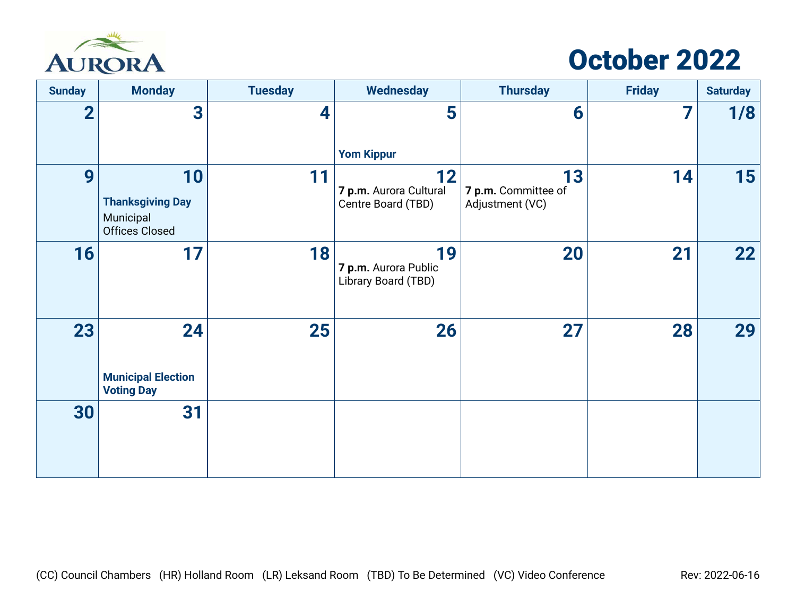

## October 2022

| <b>Sunday</b>  | <b>Monday</b>                                                       | <b>Tuesday</b> | <b>Wednesday</b>                                   | <b>Thursday</b>                              | <b>Friday</b> | <b>Saturday</b> |
|----------------|---------------------------------------------------------------------|----------------|----------------------------------------------------|----------------------------------------------|---------------|-----------------|
| $\overline{2}$ | 3                                                                   | 4              | 5<br><b>Yom Kippur</b>                             | 6                                            | 7             | 1/8             |
| 9              | 10<br><b>Thanksgiving Day</b><br>Municipal<br><b>Offices Closed</b> | 11             | 12<br>7 p.m. Aurora Cultural<br>Centre Board (TBD) | 13<br>7 p.m. Committee of<br>Adjustment (VC) | 14            | 15              |
| 16             | 17                                                                  | 18             | 19<br>7 p.m. Aurora Public<br>Library Board (TBD)  | 20                                           | 21            | <b>22</b>       |
| 23             | 24<br><b>Municipal Election</b><br><b>Voting Day</b>                | 25             | 26                                                 | 27                                           | 28            | 29              |
| 30             | 31                                                                  |                |                                                    |                                              |               |                 |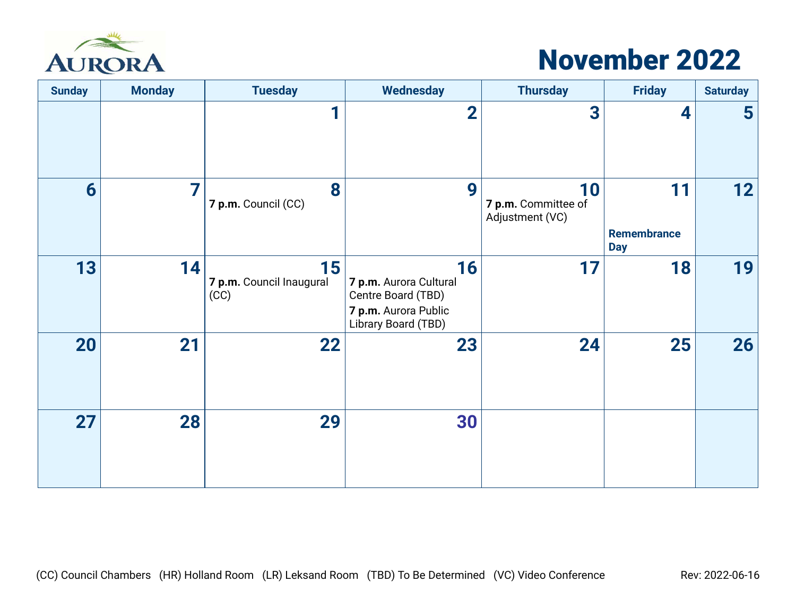

## November 2022

| <b>Sunday</b> | <b>Monday</b> | <b>Tuesday</b>                         | <b>Wednesday</b>                                                                                  | <b>Thursday</b>                              | <b>Friday</b>                   | <b>Saturday</b> |
|---------------|---------------|----------------------------------------|---------------------------------------------------------------------------------------------------|----------------------------------------------|---------------------------------|-----------------|
|               |               | 1                                      | $\overline{2}$                                                                                    | 3                                            | 4                               | $5\phantom{1}$  |
| 6             | 7             | 8<br>7 p.m. Council (CC)               | 9                                                                                                 | 10<br>7 p.m. Committee of<br>Adjustment (VC) | 11<br>Remembrance<br><b>Day</b> | 12              |
| 13            | 14            | 15<br>7 p.m. Council Inaugural<br>(CC) | 16<br>7 p.m. Aurora Cultural<br>Centre Board (TBD)<br>7 p.m. Aurora Public<br>Library Board (TBD) | 17                                           | 18                              | 19              |
| 20            | 21            | 22                                     | 23                                                                                                | 24                                           | 25                              | 26              |
| 27            | 28            | 29                                     | 30                                                                                                |                                              |                                 |                 |